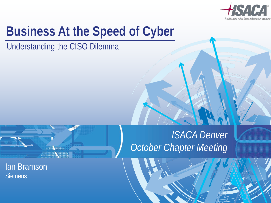

 $\overline{0}$ 

### **Business At the Speed of Cyber**

Understanding the CISO Dilemma



Ian Bramson **Siemens** 

#### *ISACA Denver October Chapter Meeting*

October Chapter Meeting Ian Bramson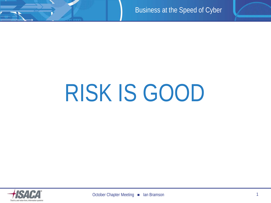

## RISK IS GOOD

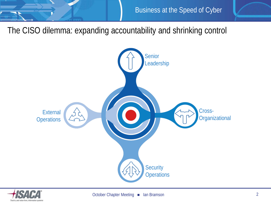

The CISO dilemma: expanding accountability and shrinking control



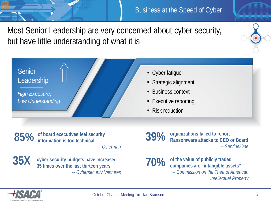Most Senior Leadership are very concerned about cyber security, but have little understanding of what it is



**of board executives feel security information is too technical 85%**

-- *Osterman*

35 times over the last thirteen years **35X cyber security budgets have increased**  *-- Cybersecurity Ventures*

**organizations failed to report Ransomware attacks to CEO or Board** *-- SentinelOne* **39%**

#### **70%**

**of the value of publicly traded companies are "intangible assets"** *-- Commission on the Theft of American Intellectual Property* 

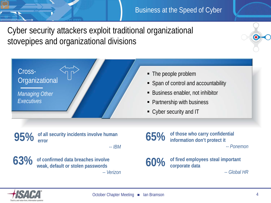Cyber security attackers exploit traditional organizational stovepipes and organizational divisions



*Managing Other Executives*

• The people problem

- Span of control and accountability
- Business enabler, not inhibitor
- Partnership with business
- Cyber security and IT

**of all security incidents involve human error 95%**

-- *IBM*



weak, default or stolen passwords **63% of confirmed data breaches involve**  *-- Verizon*

**of those who carry confidential information don't protect it**  *-- Ponemon* **65%**

**of fired employees steal important corporate data 60%**

*-- Global HR*

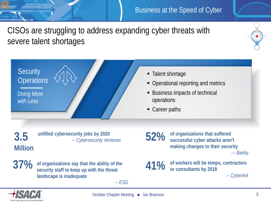CISOs are struggling to address expanding cyber threats with severe talent shortages



**Million**

**unfilled cybersecurity jobs by 2020 3.5** -- *Cybersecurity Ventures*

 $37%$ **37% of organizations say that the ability of the security staff to keep up with the threat landscape is inadequate** 

*-- ESG*

**of organizations that suffered successful cyber attacks aren't making changes to their security**  *–- Barkly* **52%**

**of workers will be temps, contractors or consultants by 2018 41%**

*-- CyberArk*

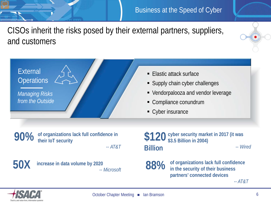CISOs inherit the risks posed by their external partners, suppliers, and customers

**External Operations** 

*Managing Risks from the Outside*

> **of organizations lack full confidence in their IoT security**

> > -- *AT&T*

#### $50$

**50X increase in data volume by 2020** *-- Microsoft*

- **Elastic attack surface**
- **Supply chain cyber challenges**
- Vendorpalooza and vendor leverage
- Compliance conundrum
- Cyber insurance

**90%** of organizations lack full confidence in<br> **90%** their let security **\$3.5 Billion in 2004)** -- *Wired* **\$120 Billion**

> **of organizations lack full confidence in the security of their business partners' connected devices 88%**

*-- AT&T*